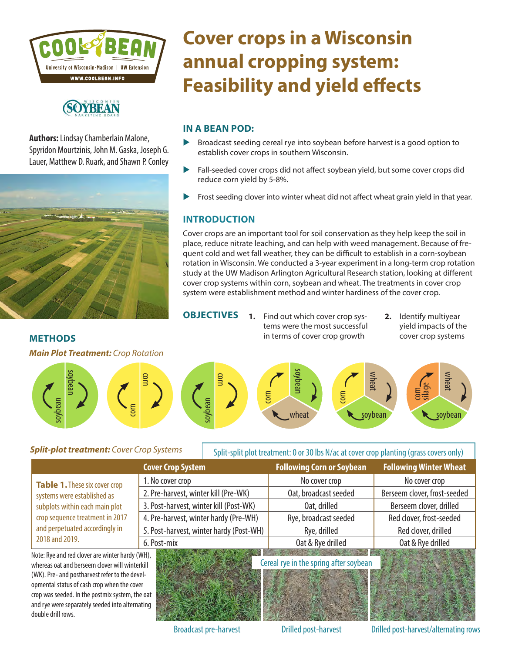

## **(SOYREAN**

**Authors:** Lindsay Chamberlain Malone, Spyridon Mourtzinis, John M. Gaska, Joseph G. Lauer, Matthew D. Ruark, and Shawn P. Conley



**METHODS**

# **Cover crops in a Wisconsin annual cropping system: Feasibility and yield effects**

#### **IN A BEAN POD:**

- $\triangleright$  Broadcast seeding cereal rye into soybean before harvest is a good option to establish cover crops in southern Wisconsin.
- $\blacktriangleright$  Fall-seeded cover crops did not affect soybean yield, but some cover crops did reduce corn yield by 5-8%.
- $\blacktriangleright$  Frost seeding clover into winter wheat did not affect wheat grain yield in that year.

### **INTRODUCTION**

Cover crops are an important tool for soil conservation as they help keep the soil in place, reduce nitrate leaching, and can help with weed management. Because of frequent cold and wet fall weather, they can be difficult to establish in a corn-soybean rotation in Wisconsin. We conducted a 3-year experiment in a long-term crop rotation study at the UW Madison Arlington Agricultural Research station, looking at different cover crop systems within corn, soybean and wheat. The treatments in cover crop system were establishment method and winter hardiness of the cover crop.

**OBJECTIVES 1.** Find out which cover crop systems were the most successful in terms of cover crop growth

**2.** Identify multiyear yield impacts of the cover crop systems



#### *Split-plot treatment: Cover Crop Systems*

|                                                                                                                                                                                       |                                        | Spill-Spill plot treatment. O or 50 ids N/ac at cover crop planting (grass covers only) |                                  |                               |  |
|---------------------------------------------------------------------------------------------------------------------------------------------------------------------------------------|----------------------------------------|-----------------------------------------------------------------------------------------|----------------------------------|-------------------------------|--|
|                                                                                                                                                                                       | <b>Cover Crop System</b>               |                                                                                         | <b>Following Corn or Soybean</b> | <b>Following Winter Wheat</b> |  |
| Table 1. These six cover crop<br>systems were established as<br>subplots within each main plot<br>crop sequence treatment in 2017<br>and perpetuated accordingly in<br>2018 and 2019. | 1. No cover crop                       |                                                                                         | No cover crop                    | No cover crop                 |  |
|                                                                                                                                                                                       | 2. Pre-harvest, winter kill (Pre-WK)   |                                                                                         | Oat, broadcast seeded            | Berseem clover, frost-seeded  |  |
|                                                                                                                                                                                       | 3. Post-harvest, winter kill (Post-WK) |                                                                                         | Oat, drilled                     | Berseem clover, drilled       |  |
|                                                                                                                                                                                       | 4. Pre-harvest, winter hardy (Pre-WH)  |                                                                                         | Rye, broadcast seeded            | Red clover, frost-seeded      |  |
|                                                                                                                                                                                       |                                        | 5. Post-harvest, winter hardy (Post-WH)                                                 | Rye, drilled                     | Red clover, drilled           |  |
|                                                                                                                                                                                       | 6. Post-mix                            |                                                                                         | Oat & Rye drilled                | Oat & Rye drilled             |  |

Note: Rye and red clover are winter hardy (WH), whereas oat and berseem clover will winterkill (WK). Pre- and postharvest refer to the developmental status of cash crop when the cover crop was seeded. In the postmix system, the oat and rye were separately seeded into alternating double drill rows.



Cereal rye in the spring after soybean

Split-split plot treatment: 0 or 30 lbs N/ac at cover crop planting (grass covers only)



Broadcast pre-harvest Drilled post-harvest Drilled post-harvest/alternating rows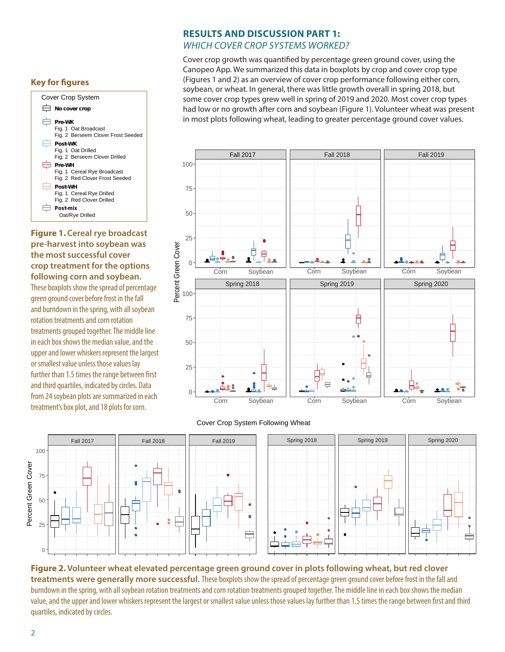#### **Key for figures**



**Figure 1. Cereal rye broadcast pre-harvest into soybean was the most successful cover crop treatment for the options following corn and soybean.**  These boxplots show the spread of percentage green ground cover before frost in the fall and burndown in the spring, with all soybean rotation treatments and corn rotation treatments grouped together. The middle line in each box shows the median value, and the upper and lower whiskers represent the largest or smallest value unless those values lay further than 1.5 times the range between first and third quartiles, indicated by circles. Data from 24 soybean plots are summarized in each treatment's box plot, and 18 plots for corn.

#### **RESULTS AND DISCUSSION PART 1:**  *WHICH COVER CROP SYSTEMS WORKED?*

Cover crop growth was quantified by percentage green ground cover, using the Canopeo App. We summarized this data in boxplots by crop and cover crop type (Figures 1 and 2) as an overview of cover crop performance following either corn, soybean, or wheat. In general, there was little growth overall in spring 2018, but some cover crop types grew well in spring of 2019 and 2020. Most cover crop types had low or no growth after corn and soybean (Figure 1). Volunteer wheat was present in most plots following wheat, leading to greater percentage ground cover values.



#### Cover Crop System Following Wheat



**Figure 2. Volunteer wheat elevated percentage green ground cover in plots following wheat, but red clover treatments were generally more successful.** These boxplots show the spread of percentage green ground cover before frost in the fall and burndown in the spring, with all soybean rotation treatments and corn rotation treatments grouped together. The middle line in each box shows the median value, and the upper and lower whiskers represent the largest or smallest value unless those values lay further than 1.5 times the range between first and third quartiles, indicated by circles.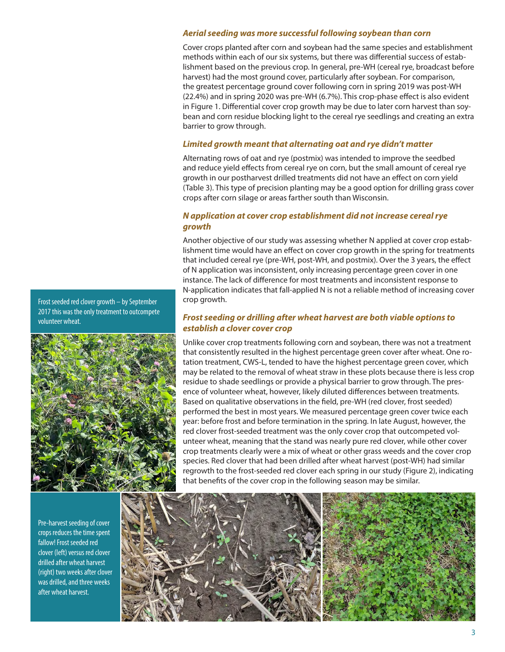#### *Aerial seeding was more successful following soybean than corn*

Cover crops planted after corn and soybean had the same species and establishment methods within each of our six systems, but there was differential success of establishment based on the previous crop. In general, pre-WH (cereal rye, broadcast before harvest) had the most ground cover, particularly after soybean. For comparison, the greatest percentage ground cover following corn in spring 2019 was post-WH (22.4%) and in spring 2020 was pre-WH (6.7%). This crop-phase effect is also evident in Figure 1. Differential cover crop growth may be due to later corn harvest than soybean and corn residue blocking light to the cereal rye seedlings and creating an extra barrier to grow through.

#### *Limited growth meant that alternating oat and rye didn't matter*

Alternating rows of oat and rye (postmix) was intended to improve the seedbed and reduce yield effects from cereal rye on corn, but the small amount of cereal rye growth in our postharvest drilled treatments did not have an effect on corn yield (Table 3). This type of precision planting may be a good option for drilling grass cover crops after corn silage or areas farther south than Wisconsin.

#### *N application at cover crop establishment did not increase cereal rye growth*

Another objective of our study was assessing whether N applied at cover crop establishment time would have an effect on cover crop growth in the spring for treatments that included cereal rye (pre-WH, post-WH, and postmix). Over the 3 years, the effect of N application was inconsistent, only increasing percentage green cover in one instance. The lack of difference for most treatments and inconsistent response to N-application indicates that fall-applied N is not a reliable method of increasing cover crop growth.

#### *Frost seeding or drilling after wheat harvest are both viable options to establish a clover cover crop*

Unlike cover crop treatments following corn and soybean, there was not a treatment that consistently resulted in the highest percentage green cover after wheat. One rotation treatment, CWS-L, tended to have the highest percentage green cover, which may be related to the removal of wheat straw in these plots because there is less crop residue to shade seedlings or provide a physical barrier to grow through. The presence of volunteer wheat, however, likely diluted differences between treatments. Based on qualitative observations in the field, pre-WH (red clover, frost seeded) performed the best in most years. We measured percentage green cover twice each year: before frost and before termination in the spring. In late August, however, the red clover frost-seeded treatment was the only cover crop that outcompeted volunteer wheat, meaning that the stand was nearly pure red clover, while other cover crop treatments clearly were a mix of wheat or other grass weeds and the cover crop species. Red clover that had been drilled after wheat harvest (post-WH) had similar regrowth to the frost-seeded red clover each spring in our study (Figure 2), indicating that benefits of the cover crop in the following season may be similar.



Frost seeded red clover growth – by September 2017 this was the only treatment to outcompete volunteer wheat.



Pre-harvest seeding of cover crops reduces the time spent fallow! Frost seeded red clover (left) versus red clover drilled after wheat harvest (right) two weeks after clover was drilled, and three weeks after wheat harvest.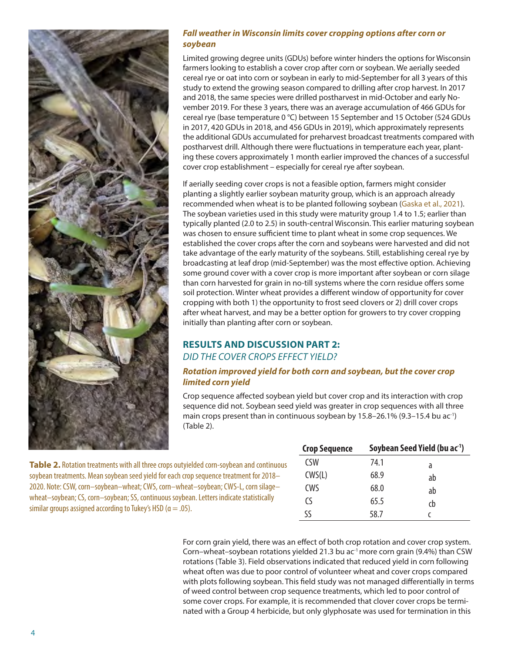

#### *Fall weather in Wisconsin limits cover cropping options after corn or soybean*

Limited growing degree units (GDUs) before winter hinders the options for Wisconsin farmers looking to establish a cover crop after corn or soybean. We aerially seeded cereal rye or oat into corn or soybean in early to mid-September for all 3 years of this study to extend the growing season compared to drilling after crop harvest. In 2017 and 2018, the same species were drilled postharvest in mid-October and early November 2019. For these 3 years, there was an average accumulation of 466 GDUs for cereal rye (base temperature 0 °C) between 15 September and 15 October (524 GDUs in 2017, 420 GDUs in 2018, and 456 GDUs in 2019), which approximately represents the additional GDUs accumulated for preharvest broadcast treatments compared with postharvest drill. Although there were fluctuations in temperature each year, planting these covers approximately 1 month earlier improved the chances of a successful cover crop establishment – especially for cereal rye after soybean.

If aerially seeding cover crops is not a feasible option, farmers might consider planting a slightly earlier soybean maturity group, which is an approach already recommended when wheat is to be planted following soybean [\(Gaska et al., 2021\)](https://coolbean.info/wp-content/uploads/sites/3/2021/01/EarlySoybeanWheat_Final.pdf). The soybean varieties used in this study were maturity group 1.4 to 1.5; earlier than typically planted (2.0 to 2.5) in south-central Wisconsin. This earlier maturing soybean was chosen to ensure sufficient time to plant wheat in some crop sequences. We established the cover crops after the corn and soybeans were harvested and did not take advantage of the early maturity of the soybeans. Still, establishing cereal rye by broadcasting at leaf drop (mid-September) was the most effective option. Achieving some ground cover with a cover crop is more important after soybean or corn silage than corn harvested for grain in no-till systems where the corn residue offers some soil protection. Winter wheat provides a different window of opportunity for cover cropping with both 1) the opportunity to frost seed clovers or 2) drill cover crops after wheat harvest, and may be a better option for growers to try cover cropping initially than planting after corn or soybean.

#### **RESULTS AND DISCUSSION PART 2:**  *DID THE COVER CROPS EFFECT YIELD?*

#### *Rotation improved yield for both corn and soybean, but the cover crop limited corn yield*

Crop sequence affected soybean yield but cover crop and its interaction with crop sequence did not. Soybean seed yield was greater in crop sequences with all three main crops present than in continuous soybean by 15.8-26.1% (9.3-15.4 bu ac<sup>-1</sup>) (Table 2).

| <b>Crop Sequence</b> | Soybean Seed Yield (bu ac <sup>-1</sup> ) |    |  |
|----------------------|-------------------------------------------|----|--|
| CSW                  | 74.1                                      | a  |  |
| CWS(L)               | 68.9                                      | ab |  |
| CWS                  | 68.0                                      | ab |  |
| ٢S                   | 65.5                                      | ch |  |
| SS                   | 58.7                                      |    |  |

For corn grain yield, there was an effect of both crop rotation and cover crop system. Corn–wheat–soybean rotations yielded 21.3 bu ac<sup>-1</sup> more corn grain (9.4%) than CSW rotations (Table 3). Field observations indicated that reduced yield in corn following wheat often was due to poor control of volunteer wheat and cover crops compared with plots following soybean. This field study was not managed differentially in terms of weed control between crop sequence treatments, which led to poor control of some cover crops. For example, it is recommended that clover cover crops be terminated with a Group 4 herbicide, but only glyphosate was used for termination in this

**Table 2.** Rotation treatments with all three crops outyielded corn-soybean and continuous soybean treatments. Mean soybean seed yield for each crop sequence treatment for 2018– 2020. Note: CSW, corn–soybean–wheat; CWS, corn–wheat–soybean; CWS-L, corn silage– wheat–soybean; CS, corn–soybean; SS, continuous soybean. Letters indicate statistically similar groups assigned according to Tukey's HSD ( $\alpha = .05$ ).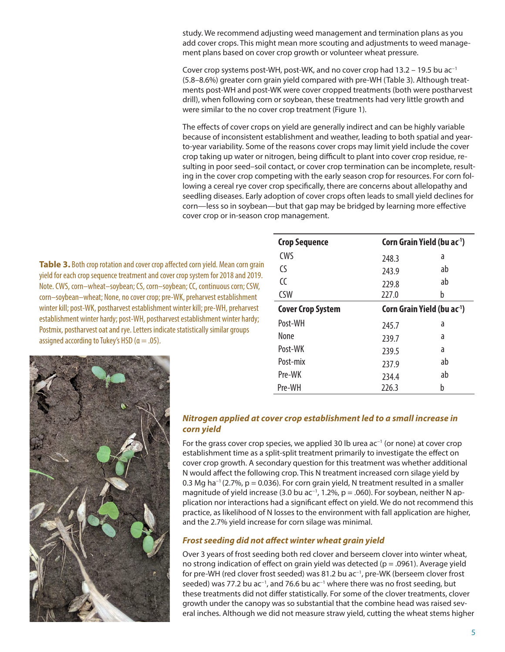study. We recommend adjusting weed management and termination plans as you add cover crops. This might mean more scouting and adjustments to weed management plans based on cover crop growth or volunteer wheat pressure.

Cover crop systems post-WH, post-WK, and no cover crop had 13.2 – 19.5 bu ac−1 (5.8–8.6%) greater corn grain yield compared with pre-WH (Table 3). Although treatments post-WH and post-WK were cover cropped treatments (both were postharvest drill), when following corn or soybean, these treatments had very little growth and were similar to the no cover crop treatment (Figure 1).

The effects of cover crops on yield are generally indirect and can be highly variable because of inconsistent establishment and weather, leading to both spatial and yearto-year variability. Some of the reasons cover crops may limit yield include the cover crop taking up water or nitrogen, being difficult to plant into cover crop residue, resulting in poor seed–soil contact, or cover crop termination can be incomplete, resulting in the cover crop competing with the early season crop for resources. For corn following a cereal rye cover crop specifically, there are concerns about allelopathy and seedling diseases. Early adoption of cover crops often leads to small yield declines for corn—less so in soybean—but that gap may be bridged by learning more effective cover crop or in-season crop management.

**Table 3.** Both crop rotation and cover crop affected corn yield. Mean corn grain yield for each crop sequence treatment and cover crop system for 2018 and 2019. Note. CWS, corn–wheat–soybean; CS, corn–soybean; CC, continuous corn; CSW, corn–soybean–wheat; None, no cover crop; pre-WK, preharvest establishment winter kill; post-WK, postharvest establishment winter kill; pre-WH, preharvest establishment winter hardy; post-WH, postharvest establishment winter hardy; Postmix, postharvest oat and rye. Letters indicate statistically similar groups assigned according to Tukey's HSD ( $\alpha = .05$ ).

| <b>Crop Sequence</b>     | Corn Grain Yield (bu ac <sup>1</sup> ) |    |  |
|--------------------------|----------------------------------------|----|--|
| CWS                      | 248.3                                  | a  |  |
| ٢S                       | 243.9                                  | ab |  |
| CC                       | 229.8                                  | ab |  |
| <b>CSW</b>               | 227.0                                  | b  |  |
| <b>Cover Crop System</b> | Corn Grain Yield (bu ac <sup>1</sup> ) |    |  |
| Post-WH                  | 245.7                                  | a  |  |
| None                     | 239.7                                  | a  |  |
| Post-WK                  | 239.5                                  | a  |  |
| Post-mix                 | 237.9                                  | ab |  |
| Pre-WK                   | 234.4                                  | ab |  |
| Pre-WH                   | 226.3                                  | h  |  |



#### *Nitrogen applied at cover crop establishment led to a small increase in corn yield*

For the grass cover crop species, we applied 30 lb urea ac<sup>-1</sup> (or none) at cover crop establishment time as a split-split treatment primarily to investigate the effect on cover crop growth. A secondary question for this treatment was whether additional N would affect the following crop. This N treatment increased corn silage yield by 0.3 Mg ha−1 (2.7%, p = 0.036). For corn grain yield, N treatment resulted in a smaller magnitude of yield increase (3.0 bu ac<sup>-1</sup>, 1.2%, p = .060). For soybean, neither N application nor interactions had a significant effect on yield. We do not recommend this practice, as likelihood of N losses to the environment with fall application are higher, and the 2.7% yield increase for corn silage was minimal.

#### *Frost seeding did not affect winter wheat grain yield*

Over 3 years of frost seeding both red clover and berseem clover into winter wheat, no strong indication of effect on grain yield was detected ( $p = .0961$ ). Average yield for pre-WH (red clover frost seeded) was 81.2 bu ac−1, pre-WK (berseem clover frost seeded) was 77.2 bu ac<sup>-1</sup>, and 76.6 bu ac<sup>-1</sup> where there was no frost seeding, but these treatments did not differ statistically. For some of the clover treatments, clover growth under the canopy was so substantial that the combine head was raised several inches. Although we did not measure straw yield, cutting the wheat stems higher